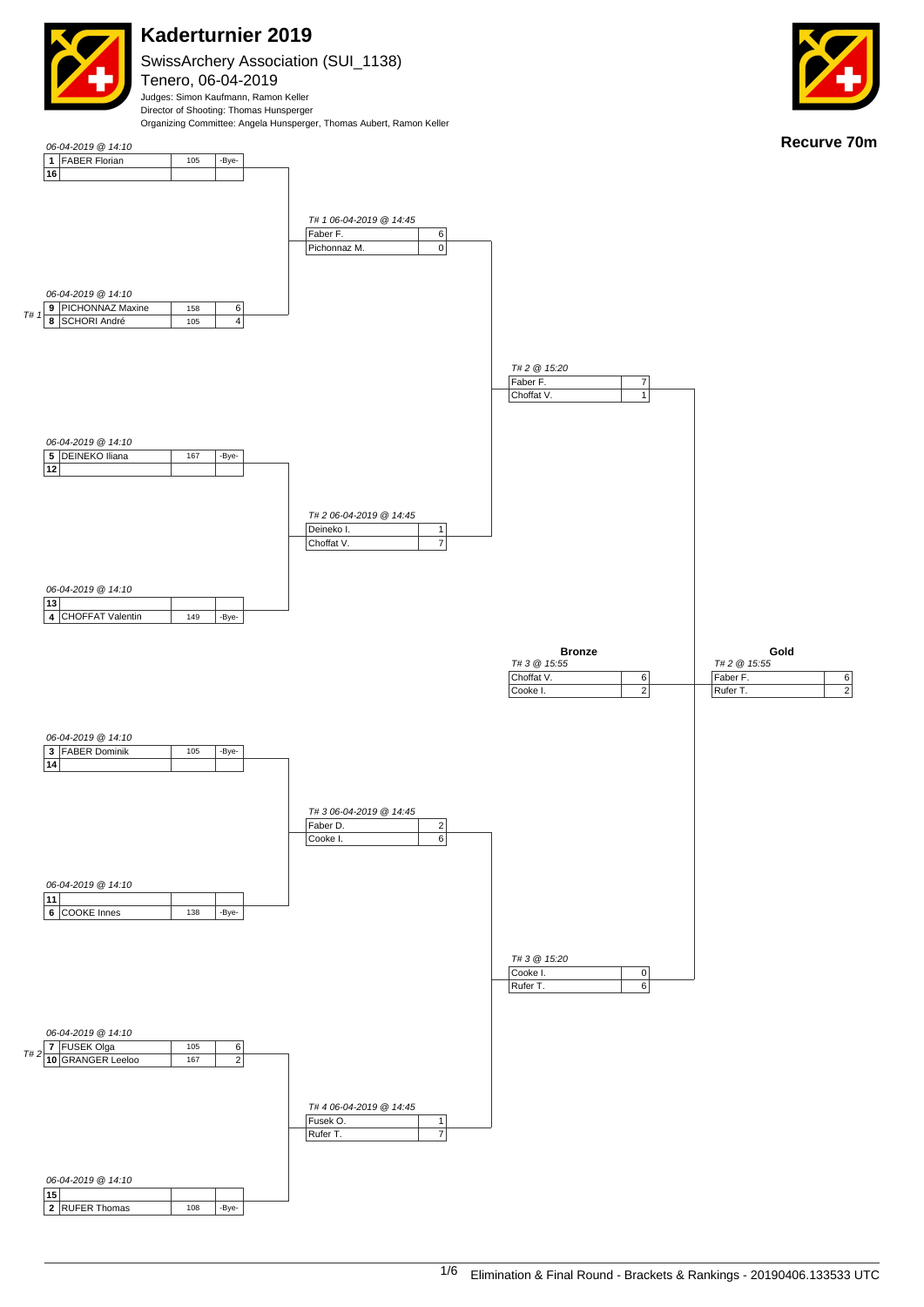

SwissArchery Association (SUI\_1138) Tenero, 06-04-2019 Judges: Simon Kaufmann, Ramon Keller

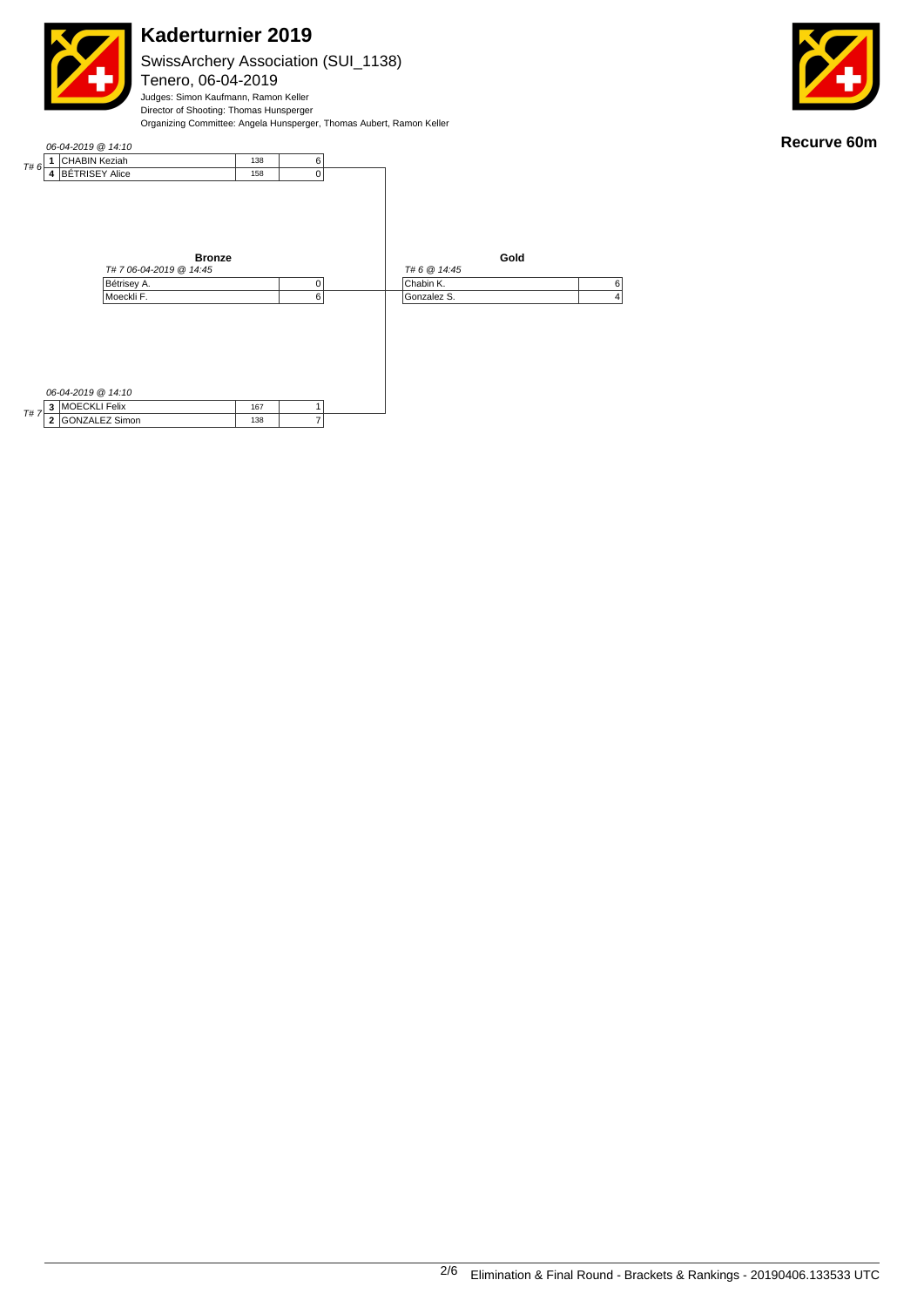SwissArchery Association (SUI\_1138)

Tenero, 06-04-2019 Judges: Simon Kaufmann, Ramon Keller Director of Shooting: Thomas Hunsperger Organizing Committee: Angela Hunsperger, Thomas Aubert, Ramon Keller



**Recurve 60m**

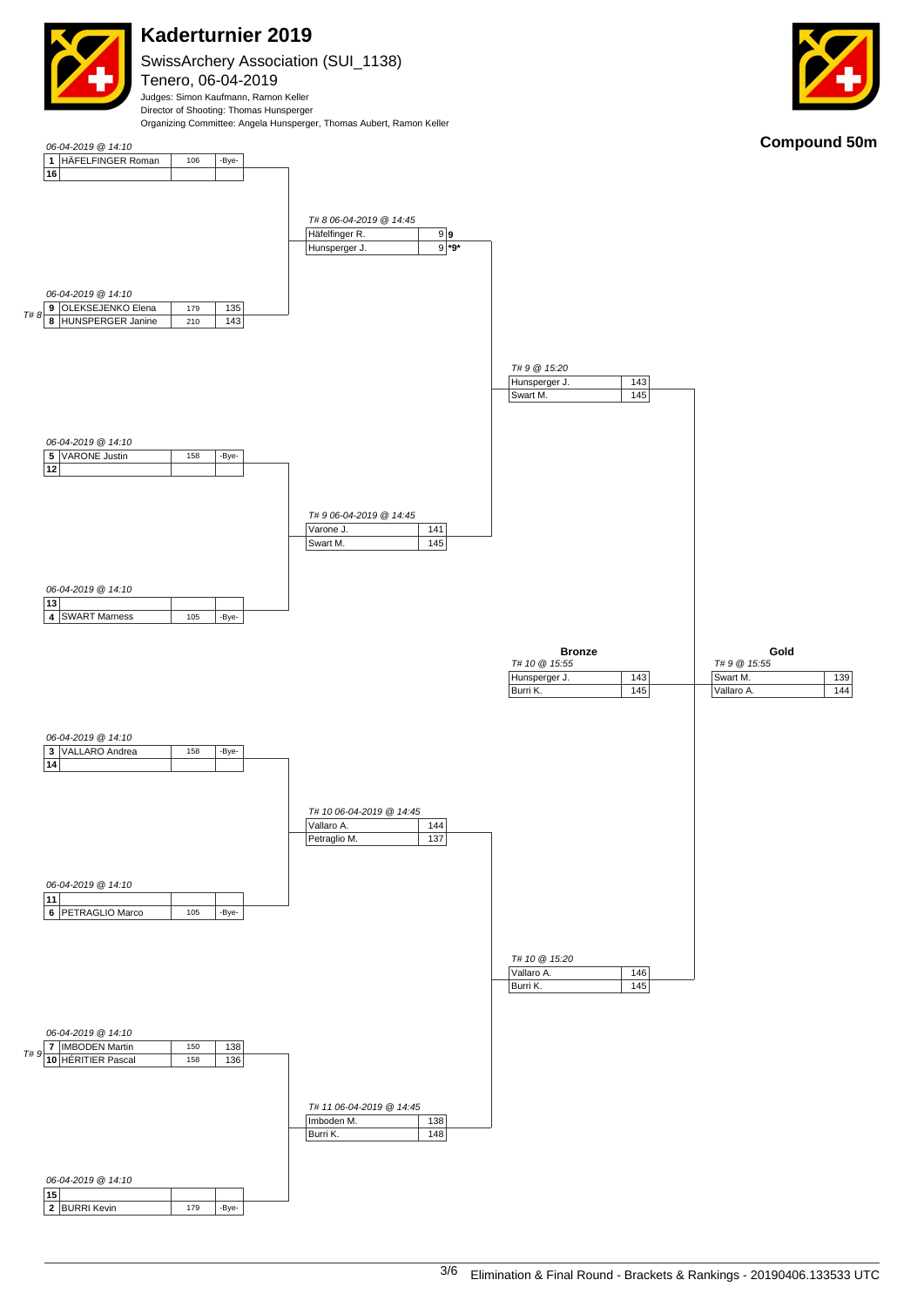

SwissArchery Association (SUI\_1138) Tenero, 06-04-2019 Judges: Simon Kaufmann, Ramon Keller Director of Shooting: Thomas Hunsperger



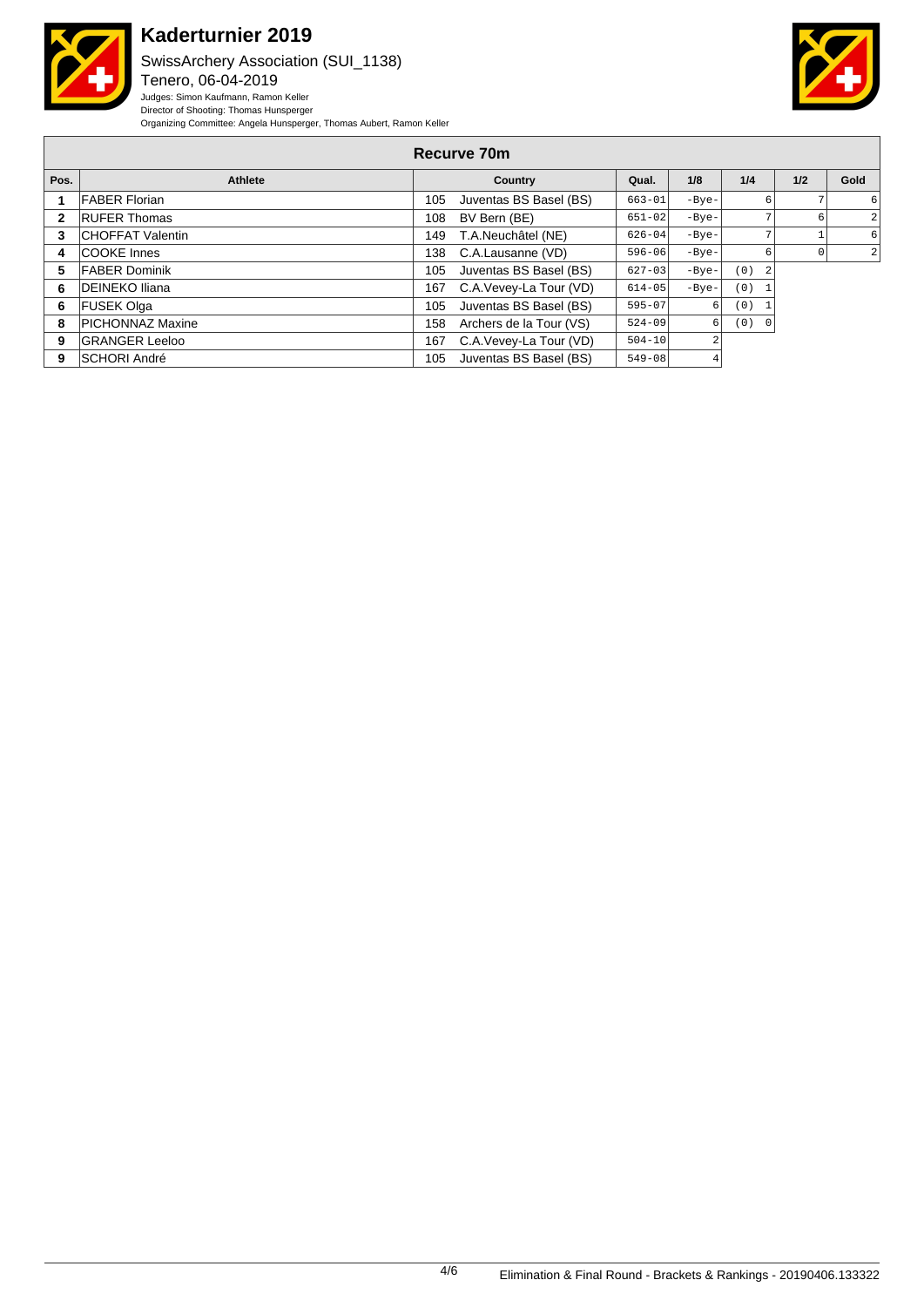

 $\Gamma$ 

# **Kaderturnier 2019**

SwissArchery Association (SUI\_1138) Tenero, 06-04-2019 Judges: Simon Kaufmann, Ramon Keller Director of Shooting: Thomas Hunsperger Organizing Committee: Angela Hunsperger, Thomas Aubert, Ramon Keller



| Recurve 70m |                         |     |                         |            |         |       |     |                |  |  |
|-------------|-------------------------|-----|-------------------------|------------|---------|-------|-----|----------------|--|--|
| Pos.        | <b>Athlete</b>          |     | Country                 | Qual.      | 1/8     | 1/4   | 1/2 | Gold           |  |  |
|             | <b>FABER Florian</b>    | 105 | Juventas BS Basel (BS)  | $663 - 01$ | $-Bye-$ |       |     | 6              |  |  |
| 2           | <b>RUFER Thomas</b>     | 108 | BV Bern (BE)            | $651 - 02$ | $-Bye-$ |       | 6   | $\overline{2}$ |  |  |
| 3           | <b>CHOFFAT Valentin</b> | 149 | T.A.Neuchâtel (NE)      | $626 - 04$ | $-Bye-$ |       |     | 6              |  |  |
| 4           | <b>COOKE</b> Innes      | 138 | C.A.Lausanne (VD)       | $596 - 06$ | $-Bye-$ |       | 0   | $\overline{2}$ |  |  |
| 5           | <b>FABER Dominik</b>    | 105 | Juventas BS Basel (BS)  | $627 - 03$ | $-Bye-$ | (0)   |     |                |  |  |
| 6           | <b>IDEINEKO Iliana</b>  | 167 | C.A.Vevey-La Tour (VD)  | $614 - 05$ | $-Bye-$ | (0)   |     |                |  |  |
| 6           | <b>FUSEK Olga</b>       | 105 | Juventas BS Basel (BS)  | $595 - 07$ |         | (0)   |     |                |  |  |
| 8           | <b>PICHONNAZ Maxine</b> | 158 | Archers de la Tour (VS) | $524 - 09$ | 6       | (0) 0 |     |                |  |  |
| 9           | <b>GRANGER Leeloo</b>   | 167 | C.A.Vevey-La Tour (VD)  | $504 - 10$ | 2       |       |     |                |  |  |
| 9           | <b>SCHORI André</b>     | 105 | Juventas BS Basel (BS)  | $549 - 08$ | 4       |       |     |                |  |  |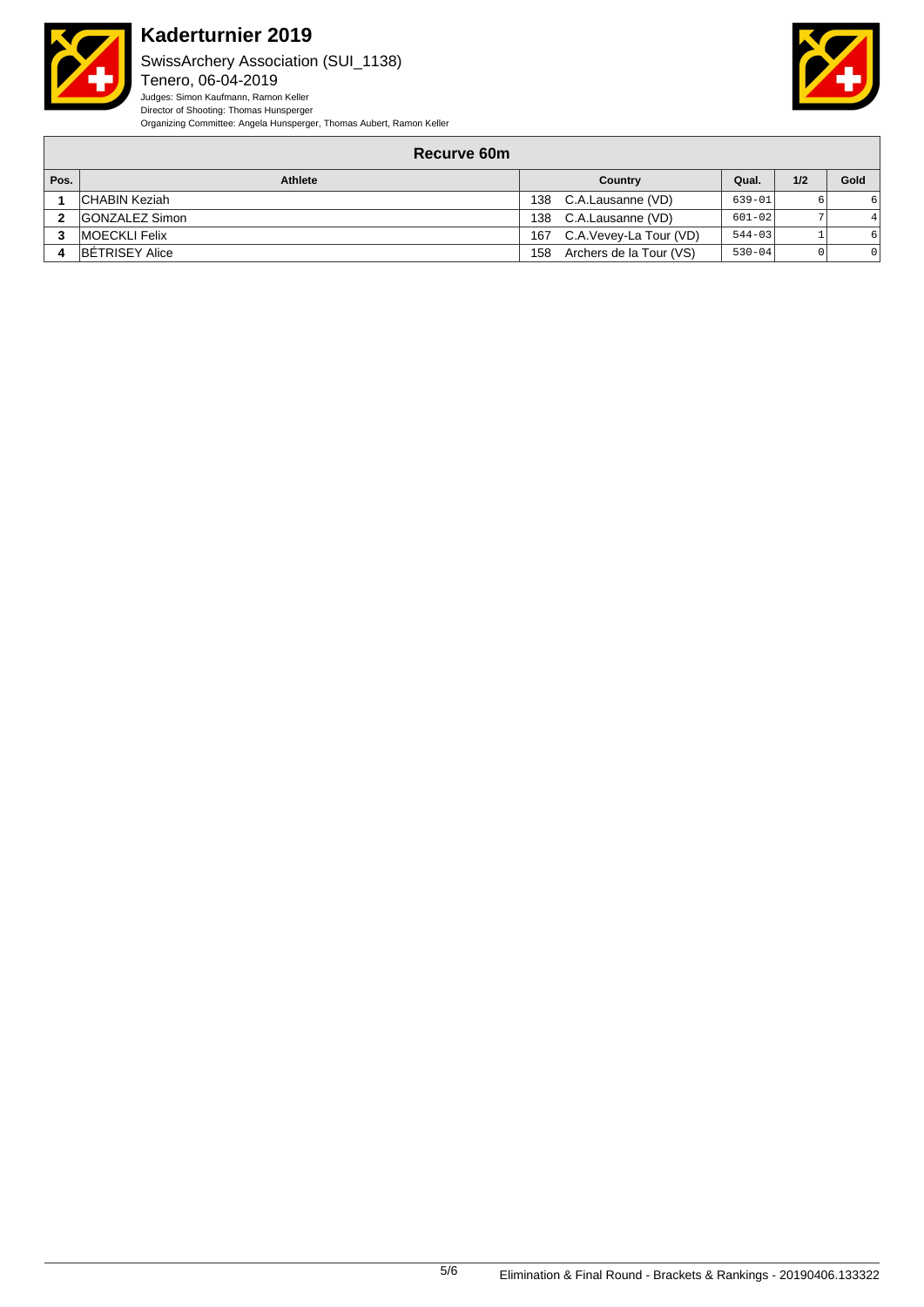

SwissArchery Association (SUI\_1138) Tenero, 06-04-2019 Judges: Simon Kaufmann, Ramon Keller Director of Shooting: Thomas Hunsperger Organizing Committee: Angela Hunsperger, Thomas Aubert, Ramon Keller



#### **Recurve 60m**

| Pos. | Athlete               | Country |                         | Qual.      | 1/2 | Gold |
|------|-----------------------|---------|-------------------------|------------|-----|------|
|      | <b>CHABIN Keziah</b>  | 138     | C.A.Lausanne (VD)       | $639 - 01$ |     |      |
|      | <b>GONZALEZ Simon</b> | 138     | C.A.Lausanne (VD)       | $601 - 02$ |     |      |
|      | <b>IMOECKLI Felix</b> | 167     | C.A.Vevey-La Tour (VD)  | $544 - 03$ |     |      |
|      | <b>BETRISEY Alice</b> | 158     | Archers de la Tour (VS) | $530 - 04$ |     |      |